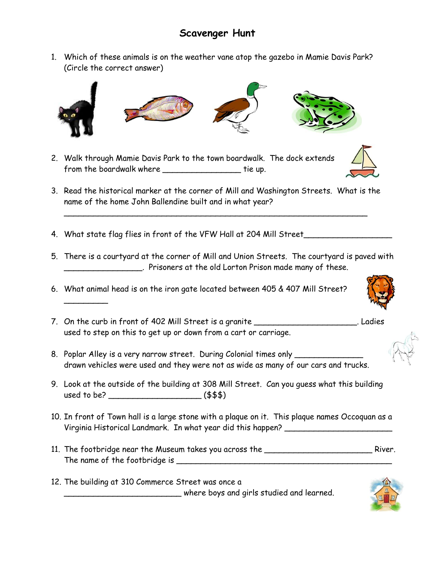## **Scavenger Hunt**

1. Which of these animals is on the weather vane atop the gazebo in Mamie Davis Park? (Circle the correct answer)



- 2. Walk through Mamie Davis Park to the town boardwalk. The dock extends from the boardwalk where \_\_\_\_\_\_\_\_\_\_\_\_\_\_\_\_\_\_\_\_\_ tie up.
- 3. Read the historical marker at the corner of Mill and Washington Streets. What is the name of the home John Ballendine built and in what year?

\_\_\_\_\_\_\_\_\_\_\_\_\_\_\_\_\_\_\_\_\_\_\_\_\_\_\_\_\_\_\_\_\_\_\_\_\_\_\_\_\_\_\_\_\_\_\_\_\_\_\_\_\_\_\_\_\_\_\_\_\_\_

4. What state flag flies in front of the VFW Hall at 204 Mill Street\_\_\_\_\_\_\_\_\_\_\_\_

 $\overline{\phantom{a}}$ 

- 5. There is a courtyard at the corner of Mill and Union Streets. The courtyard is paved with \_\_\_\_\_\_\_\_\_\_\_\_\_\_\_\_. Prisoners at the old Lorton Prison made many of these.
- 6. What animal head is on the iron gate located between 405 & 407 Mill Street?
- 7. On the curb in front of 402 Mill Street is a granite \_\_\_\_\_\_\_\_\_\_\_\_\_\_\_\_\_\_\_\_\_\_\_\_\_. Ladies used to step on this to get up or down from a cart or carriage.
- 8. Poplar Alley is a very narrow street. During Colonial times only drawn vehicles were used and they were not as wide as many of our cars and trucks.
- 9. Look at the outside of the building at 308 Mill Street. Can you guess what this building used to be? \_\_\_\_\_\_\_\_\_\_\_\_\_\_\_\_\_\_\_ (\$\$\$)
- 10. In front of Town hall is a large stone with a plaque on it. This plaque names Occoquan as a Virginia Historical Landmark. In what year did this happen?
- 11. The footbridge near the Museum takes you across the **container the state of the River.** River. The name of the footbridge is \_\_\_\_\_\_\_\_\_\_\_\_\_\_\_\_\_\_\_\_\_\_\_\_\_\_\_\_\_\_\_\_\_\_\_\_\_\_\_\_\_\_\_\_
- 12. The building at 310 Commerce Street was once a \_\_\_\_\_\_\_\_\_\_\_\_\_\_\_\_\_\_\_\_\_\_\_\_ where boys and girls studied and learned.